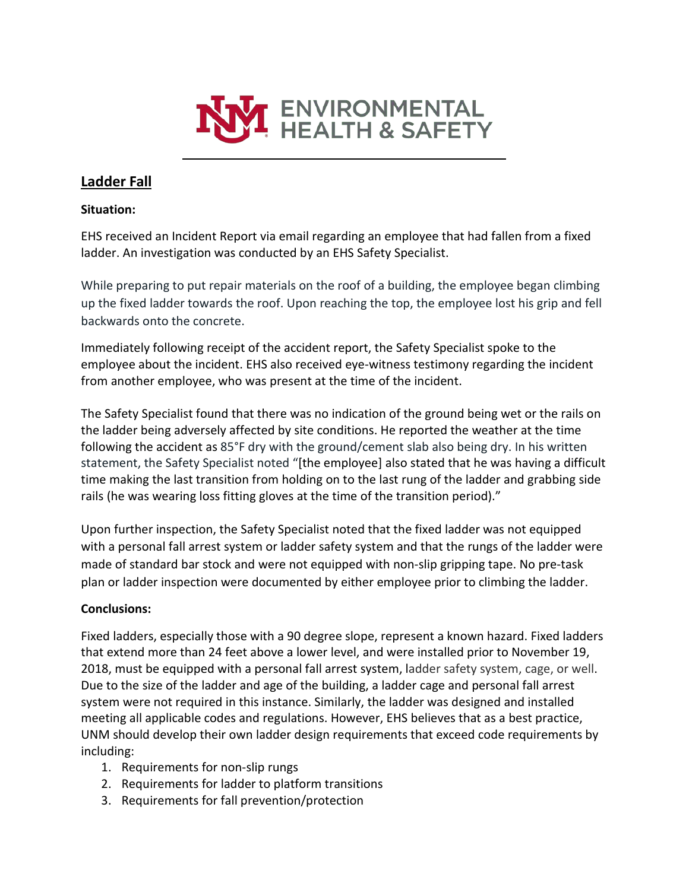

# **Ladder Fall**

#### **Situation:**

EHS received an Incident Report via email regarding an employee that had fallen from a fixed ladder. An investigation was conducted by an EHS Safety Specialist.

While preparing to put repair materials on the roof of a building, the employee began climbing up the fixed ladder towards the roof. Upon reaching the top, the employee lost his grip and fell backwards onto the concrete.

Immediately following receipt of the accident report, the Safety Specialist spoke to the employee about the incident. EHS also received eye-witness testimony regarding the incident from another employee, who was present at the time of the incident.

The Safety Specialist found that there was no indication of the ground being wet or the rails on the ladder being adversely affected by site conditions. He reported the weather at the time following the accident as 85°F dry with the ground/cement slab also being dry. In his written statement, the Safety Specialist noted "[the employee] also stated that he was having a difficult time making the last transition from holding on to the last rung of the ladder and grabbing side rails (he was wearing loss fitting gloves at the time of the transition period)."

Upon further inspection, the Safety Specialist noted that the fixed ladder was not equipped with a personal fall arrest system or ladder safety system and that the rungs of the ladder were made of standard bar stock and were not equipped with non-slip gripping tape. No pre-task plan or ladder inspection were documented by either employee prior to climbing the ladder.

## **Conclusions:**

Fixed ladders, especially those with a 90 degree slope, represent a known hazard. Fixed ladders that extend more than 24 feet above a lower level, and were installed prior to November 19, 2018, must be equipped with a personal fall arrest system, ladder safety system, cage, or well. Due to the size of the ladder and age of the building, a ladder cage and personal fall arrest system were not required in this instance. Similarly, the ladder was designed and installed meeting all applicable codes and regulations. However, EHS believes that as a best practice, UNM should develop their own ladder design requirements that exceed code requirements by including:

- 1. Requirements for non-slip rungs
- 2. Requirements for ladder to platform transitions
- 3. Requirements for fall prevention/protection